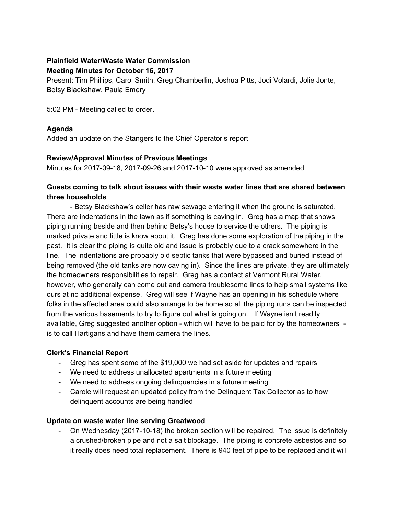# **Plainfield Water/Waste Water Commission**

#### **Meeting Minutes for October 16, 2017**

Present: Tim Phillips, Carol Smith, Greg Chamberlin, Joshua Pitts, Jodi Volardi, Jolie Jonte, Betsy Blackshaw, Paula Emery

5:02 PM - Meeting called to order.

# **Agenda**

Added an update on the Stangers to the Chief Operator's report

# **Review/Approval Minutes of Previous Meetings**

Minutes for 2017-09-18, 2017-09-26 and 2017-10-10 were approved as amended

# **Guests coming to talk about issues with their waste water lines that are shared between three households**

- Betsy Blackshaw's celler has raw sewage entering it when the ground is saturated. There are indentations in the lawn as if something is caving in. Greg has a map that shows piping running beside and then behind Betsy's house to service the others. The piping is marked private and little is know about it. Greg has done some exploration of the piping in the past. It is clear the piping is quite old and issue is probably due to a crack somewhere in the line. The indentations are probably old septic tanks that were bypassed and buried instead of being removed (the old tanks are now caving in). Since the lines are private, they are ultimately the homeowners responsibilities to repair. Greg has a contact at Vermont Rural Water, however, who generally can come out and camera troublesome lines to help small systems like ours at no additional expense. Greg will see if Wayne has an opening in his schedule where folks in the affected area could also arrange to be home so all the piping runs can be inspected from the various basements to try to figure out what is going on. If Wayne isn't readily available, Greg suggested another option - which will have to be paid for by the homeowners is to call Hartigans and have them camera the lines.

# **Clerk's Financial Report**

- Greg has spent some of the \$19,000 we had set aside for updates and repairs
- We need to address unallocated apartments in a future meeting
- We need to address ongoing delinquencies in a future meeting
- Carole will request an updated policy from the Delinquent Tax Collector as to how delinquent accounts are being handled

# **Update on waste water line serving Greatwood**

- On Wednesday (2017-10-18) the broken section will be repaired. The issue is definitely a crushed/broken pipe and not a salt blockage. The piping is concrete asbestos and so it really does need total replacement. There is 940 feet of pipe to be replaced and it will